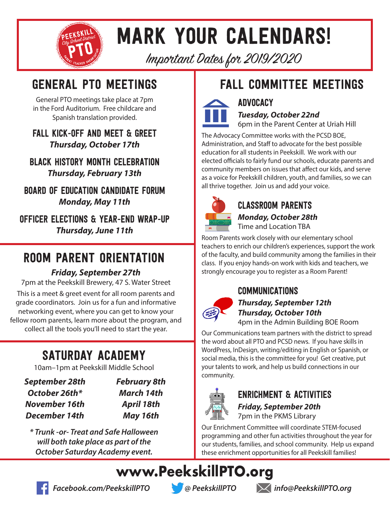

# mark your calendars!

Important Dates for 2019/2020

General PTO meetings take place at 7pm in the Ford Auditorium. Free childcare and Spanish translation provided.

### Fall Kick-Off and Meet & Greet *Thursday, October 17th*

Black History Month Celebration *Thursday, February 13th*

Board of Education Candidate Forum *Monday, May 11th*

Officer Elections & Year-End wrap-up *Thursday, June 11th*

# room parent orientation

### *Friday, September 27th*

7pm at the Peekskill Brewery, 47 S. Water Street This is a meet & greet event for all room parents and grade coordinators. Join us for a fun and informative networking event, where you can get to know your fellow room parents, learn more about the program, and collect all the tools you'll need to start the year.

# saturday academy

10am–1pm at Peekskill Middle School

*September 28th October 26th\* November 16th December 14th*

*February 8th March 14th April 18th May 16th*

*\* Trunk -or- Treat and Safe Halloween will both take place as part of the October Saturday Academy event.*

# GENERAL PTO MEETINGS **FALL COMMITTEE MEETINGS**



*Tuesday, October 22nd*

**ADVOCACY** 

6pm in the Parent Center at Uriah Hill

The Advocacy Committee works with the PCSD BOE, Administration, and Staff to advocate for the best possible education for all students in Peekskill. We work with our elected officials to fairly fund our schools, educate parents and community members on issues that affect our kids, and serve as a voice for Peekskill children, youth, and families, so we can all thrive together. Join us and add your voice.



Classroom Parents

*Monday, October 28th* Time and Location TBA

Room Parents work closely with our elementary school teachers to enrich our children's experiences, support the work of the faculty, and build community among the families in their class. If you enjoy hands-on work with kids and teachers, we strongly encourage you to register as a Room Parent!

### Communications



### *Thursday, September 12th Thursday, October 10th* 4pm in the Admin Building BOE Room

Our Communications team partners with the district to spread the word about all PTO and PCSD news. If you have skills in WordPress, InDesign, writing/editing in English or Spanish, or social media, this is the committee for you! Get creative, put your talents to work, and help us build connections in our community.



# Enrichment & activities

*Friday, September 20th* 7pm in the PKMS Library

Our Enrichment Committee will coordinate STEM-focused programming and other fun activities throughout the year for our students, families, and school community. Help us expand these enrichment opportunities for all Peekskill families!

**www.PeekskillPTO.org**